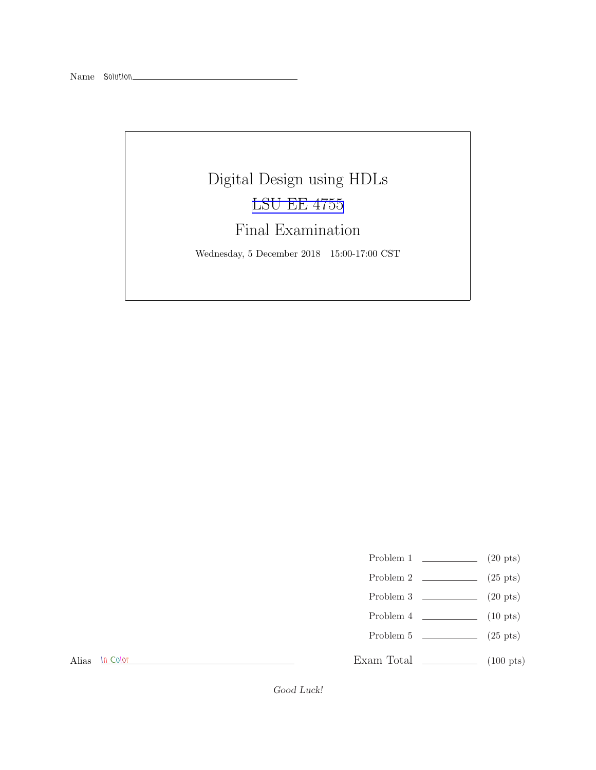# Digital Design using HDLs [LSU EE 4755](https://www.ece.lsu.edu/koppel/v/) Final Examination

Wednesday, 5 December 2018 15:00-17:00 CST

- Problem 1  $\qquad \qquad$  (20 pts)
- Problem 2  $\qquad \qquad$  (25 pts)
- Problem 3  $\qquad \qquad (20 \text{ pts})$
- Problem 4  $\qquad \qquad$  (10 pts)
- Problem 5 (25 pts)

Alias In Color

Exam Total \_\_\_\_\_\_\_\_\_\_\_\_\_\_ (100 pts)

Good Luck!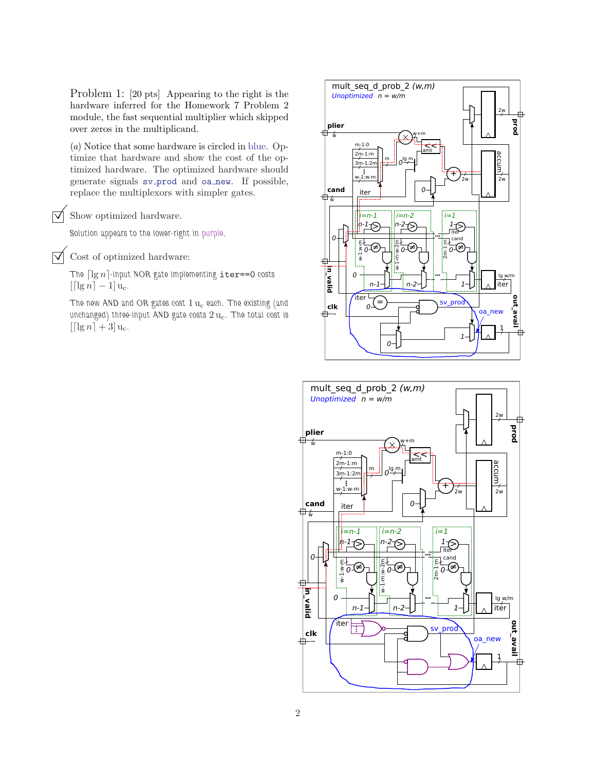Problem 1: [20 pts] Appearing to the right is the hardware inferred for the Homework 7 Problem 2 module, the fast sequential multiplier which skipped over zeros in the multiplicand.

(a) Notice that some hardware is circled in blue. Optimize that hardware and show the cost of the optimized hardware. The optimized hardware should generate signals sv prod and oa new. If possible, replace the multiplexors with simpler gates.

 $\triangledown$  Show optimized hardware.

Solution appears to the lower-right in purple.

 $\triangledown$  Cost of optimized hardware:

The  $\lceil \lg n \rceil$ -input NOR gate implementing iter==0 costs  $\lceil \lceil \lg n \rceil - 1 \rceil u_c$ .

The new AND and OR gates cost  $1 u_c$  each. The existing (and unchanged) three-input AND gate costs  $2 u_c$ . The total cost is  $\left[ \left[ \lg n \right] + 3 \right]$ u<sub>c</sub>.



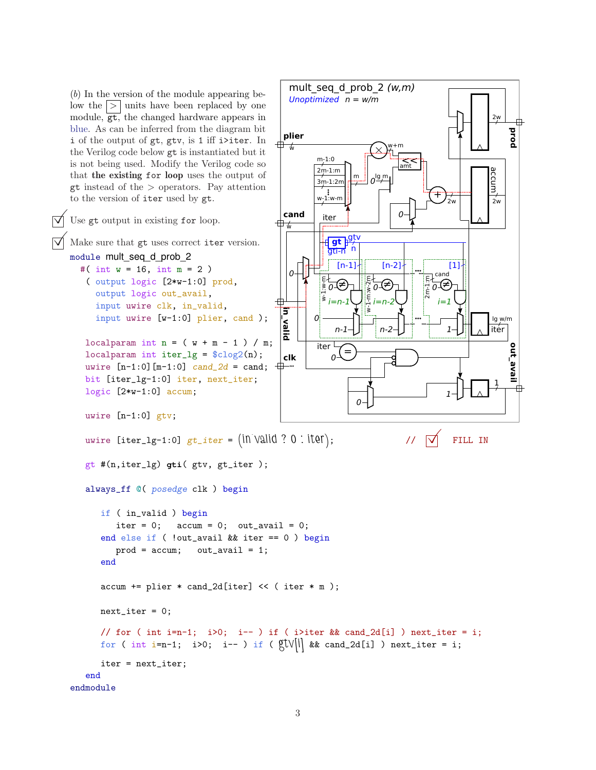(b) In the version of the module appearing below the  $| > |$  units have been replaced by one module, gt, the changed hardware appears in blue. As can be inferred from the diagram bit i of the output of gt, gtv, is 1 iff i>iter. In

iter = next\_iter;

end endmodule

```
prod
                                                                        plier
                                                                      +\sqrt{2}w+m
     the Verilog code below gt is instantiated but it
                                                                                   m-1:0is not being used. Modify the Verilog code so
                                                                                                             amt
                                                                                  2m-1:m
     that the existing for loop uses the output of
                                                                                                                                         accum
                                                                                              \frac{m}{\gamma} o^{lg} m
                                                                                  3m-1:2m
     gt instead of the > operators. Pay attention
                                                                                   w_1^{\{8\}} w-m
                                                                                                                       +
     to the version of iter used by gt.
                                                                                                                                         2w2w
                                                                        cand
                                                                                                            \Omegaiter
\triangledown Use gt output in existing for loop.
                                                                     ⊕
                                                                                        gt p<sup>gtv</sup>
      Make sure that gt uses correct iter version.
                                                                                      gti-n n
     module mult_seq_d_prob_2
                                                                                         [n-1][n-2] [1]
        #( int w = 16, int m = 2)
                                                                          O -cand
          ( output logic [2*w-1:0] prod,
                                                                                                  E<br>N-1-m:w-1<br>N-1-m
                                                                                                                     \frac{1}{2}<br>\frac{1}{2}<br>\frac{1}{2}\begin{matrix} \frac{1}{2} & \frac{1}{2} & \frac{1}{2} \\ \frac{1}{2} & \frac{1}{2} & \frac{1}{2} \\ \frac{1}{2} & \frac{1}{2} & \frac{1}{2} \\ \frac{1}{2} & \frac{1}{2} & \frac{1}{2} \end{matrix}⊽∉
                                                                                                        ≠
                                                                                                    0
             output logic out_avail,
             input uwire clk, in_valid,
                                                                       in_valid
             input uwire [w-1:0] plier, cand );
                                                                                  0
                                                                                                                                         lg w/m
                                                                                                                                         iter
                                                                                        n-1
                                                                                                      n-2
                                                                                                                           1
          localparam int n = (w + m - 1) / m;
                                                                                                                                               out_avail
                                                                                   iter <sup>L</sup>
                                                                                           =
          localparam int iter_lg = \frac{\cosh(1 - \cosh(1 - \cosh(1 - \cosh(1 - \cosh(1 - \cosh(1 - \cosh(1 - \cosh(1 - \cosh(1 - \cosh(1 - \cosh(1 - \cosh(1 - \cosh(1 - \cosh(1 - \cosh(1 - \cosh(1 - \cosh(1 - \cosh(1 - \cosh(1 - \cosh(1 - \cosh(1 - \cosh(1 - \cosh(1 - \cosh(1 - \cosh(1 - \cosh(1 - \cosh(1 - \cosh(1 - \cosh(1 - \cosh(1 - \cosh(1 - \cosh(1 - \clk
                                                                                       \Omega-
          uwire [n-1:0] [m-1:0] cand_2d = cand;—⊞——
          bit [iter_lg-1:0] iter, next_iter;
                                                                                                                                          1
          logic [2*w-1:0] accum;
                                                                                                                           1
                                                                                               \Omegauwire [n-1:0] gtv;
          uwire [iter_lg-1:0] gt\_iter = (in valid ? 0 : iter); \forall // \forall FILL IN
          gt #(n,iter_lg) gti( gtv, gt_iter );
          always_ff @( posedge clk ) begin
               if ( in_valid ) begin
                   iter = 0; \arctan = 0; \arctan \arctan 1 = 0;
              end else if ( !out_avail && iter == 0 ) begin
                   prod = accum; out_avail = 1;end
               accum += plier * cand_2d[iter] << ( iter * m );
              next\_iter = 0;// for ( int i=n-1; i>0; i-- ) if ( i>iter && cand_2d[i] ) next_iter = i;
               for ( int i=n-1; i>0; i-- ) if ( \mathbb{Q}[V][i] && cand_2d[i] ) next_iter = i;
```
mult seq d prob  $2 (w,m)$ 

Unoptimized n = w/m

2w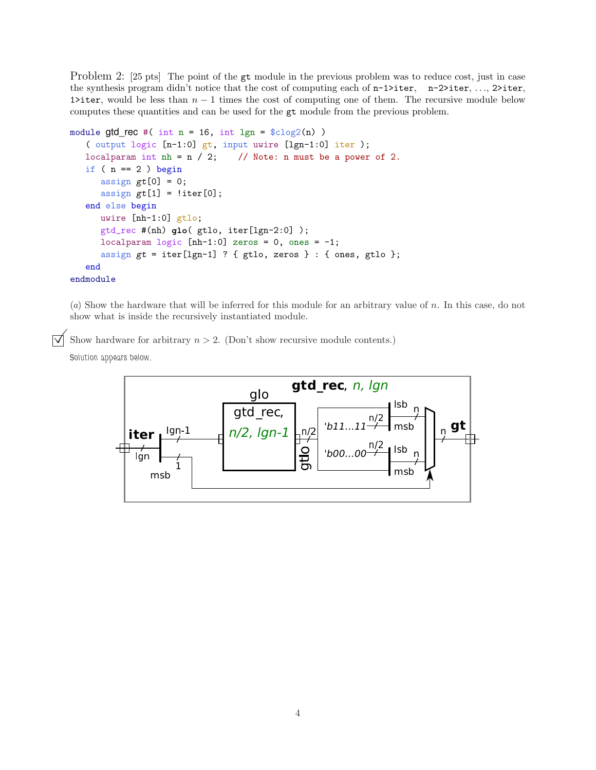Problem 2: [25 pts] The point of the gt module in the previous problem was to reduce cost, just in case the synthesis program didn't notice that the cost of computing each of  $n-1$ >iter,  $n-2$ >iter, ..., 2>iter, 1>iter, would be less than  $n-1$  times the cost of computing one of them. The recursive module below computes these quantities and can be used for the gt module from the previous problem.

```
module gtd_rec #( int n = 16, int lgn = lclog2(n) )
   ( output logic [n-1:0] gt, input uwire [lgn-1:0] iter );
  localparam int nh = n / 2; // Note: n must be a power of 2.
   if (n == 2) begin
      assign gt[0] = 0;
      assign gt[1] = !iter[0];end else begin
     uwire [nh-1:0] gtlo;
      gtd_rec #(nh) glo( gtlo, iter[lgn-2:0] );
     localparam logic [nh-1:0] zeros = 0, ones = -1;
      assign gt = iter[lgn-1] ? { gtlo, zeros } : { ones, gtlo };
   end
endmodule
```
(a) Show the hardware that will be inferred for this module for an arbitrary value of n. In this case, do not show what is inside the recursively instantiated module.

 $\overrightarrow{\bigvee}$  Show hardware for arbitrary  $n > 2$ . (Don't show recursive module contents.)

Solution appears below.

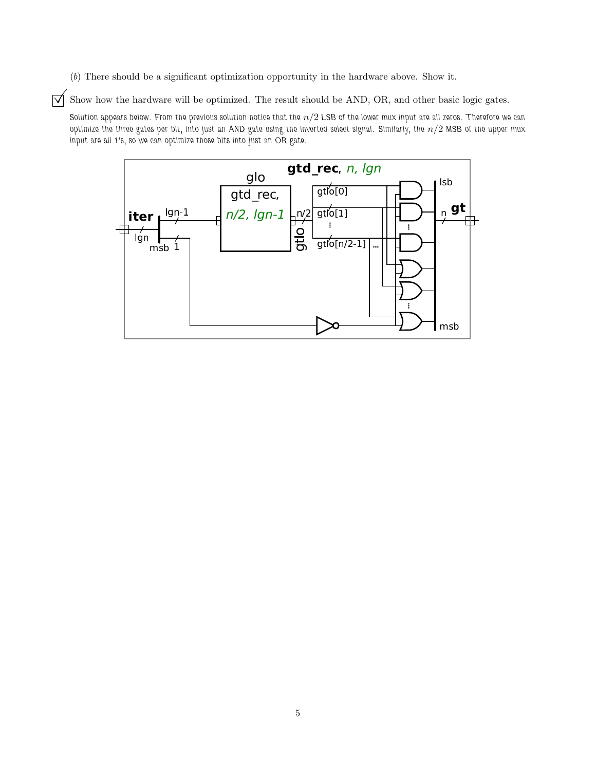(b) There should be a significant optimization opportunity in the hardware above. Show it.

 $\overrightarrow{\mathcal{A}}$  Show how the hardware will be optimized. The result should be AND, OR, and other basic logic gates.

Solution appears below. From the previous solution notice that the  $n/2$  LSB of the lower mux input are all zeros. Therefore we can optimize the three gates per bit, into just an AND gate using the inverted select signal. Similarly, the  $n/2$  MSB of the upper mux input are all 1's, so we can optimize those bits into just an OR gate.

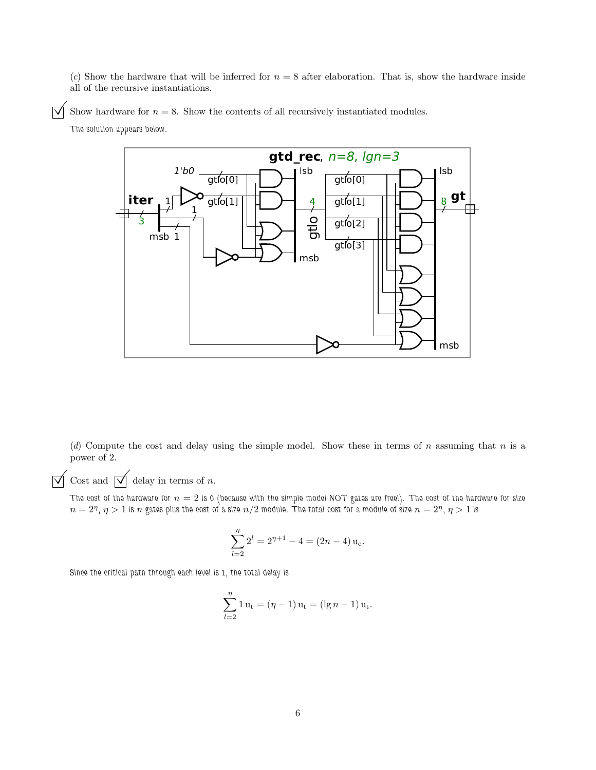(c) Show the hardware that will be inferred for  $n = 8$  after elaboration. That is, show the hardware inside all of the recursive instantiations.

 $\overrightarrow{\mathsf{V}}$  Show hardware for  $n = 8$ . Show the contents of all recursively instantiated modules.

The solution appears below.



(d) Compute the cost and delay using the simple model. Show these in terms of n assuming that n is a power of 2.

 $\overrightarrow{\bigvee}$  Cost and  $\overrightarrow{\bigvee}$  delay in terms of n.

The cost of the hardware for  $n = 2$  is 0 (because with the simple model NOT gates are free!). The cost of the hardware for size  $n=2^\eta, \eta>1$  is  $n$  gates plus the cost of a size  $n/2$  module. The total cost for a module of size  $n=2^\eta,$   $\eta>1$  is

$$
\sum_{l=2}^{\eta} 2^l = 2^{\eta+1} - 4 = (2n - 4) u_c.
$$

Since the critical path through each level is 1, the total delay is

$$
\sum_{l=2}^{\eta} 1 u_t = (\eta - 1) u_t = (\lg n - 1) u_t.
$$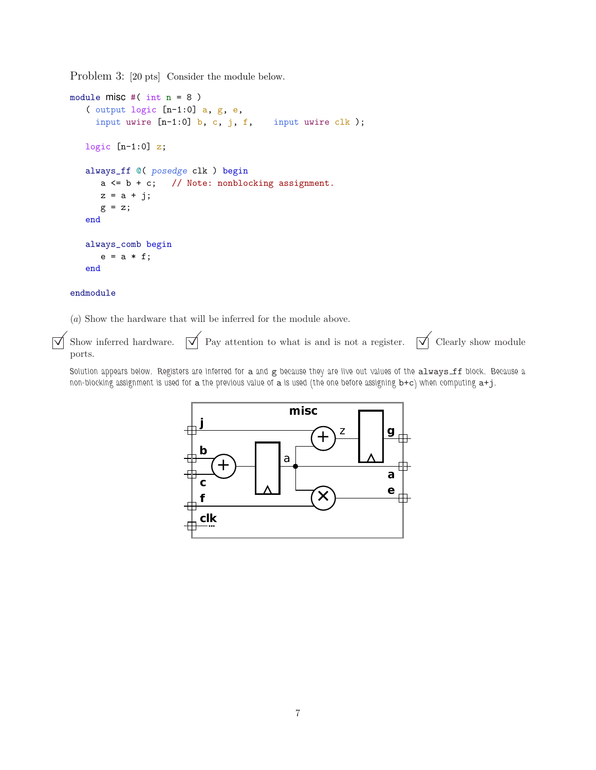Problem 3: [20 pts] Consider the module below.

```
module misc #( int n = 8 )
   ( output logic [n-1:0] a, g, e,
     input uwire [n-1:0] b, c, j, f, input uwire clk);
   logic [n-1:0] z;
   always_ff @( posedge clk ) begin
      a \leq b + c; // Note: nonblocking assignment.
     z = a + j;g = z;end
   always_comb begin
      e = a * f;end
```
#### endmodule

(a) Show the hardware that will be inferred for the module above.

 $\overrightarrow{\mathcal{A}}$  Show inferred hardware.  $\overrightarrow{\mathcal{A}}$  Pay attention to what is and is not a register.  $\overrightarrow{\mathcal{A}}$  Clearly show module ports.

Solution appears below. Registers are inferred for a and  $g$  because they are live out values of the always ff block. Because a non-blocking assignment is used for a the previous value of a is used (the one before assigning b+c) when computing a+j.

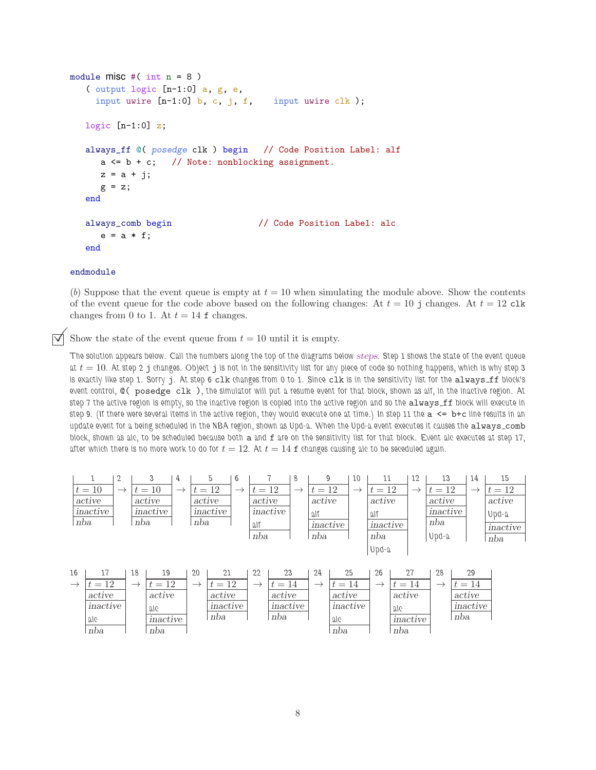```
module misc #(\text{int } n = 8)( output logic [n-1:0] a, g, e,
    input uwire [n-1:0] b, c, j, f, input uwire clk);
  logic [n-1:0] z;
  always_ff @( posedge clk ) begin // Code Position Label: alf
     a \leq b + c; // Note: nonblocking assignment.
     z = a + i;
     g = z;end
   always_comb begin // Code Position Label: alc
     e = a * f;end
```
#### endmodule

(b) Suppose that the event queue is empty at  $t = 10$  when simulating the module above. Show the contents of the event queue for the code above based on the following changes: At  $t = 10$  j changes. At  $t = 12$  clk changes from 0 to 1. At  $t = 14$  f changes.

Show the state of the event queue from  $t = 10$  until it is empty.

The solution appears below. Call the numbers along the top of the diagrams below steps. Step 1 shows the state of the event queue at  $t = 10$ . At step 2 j changes. Object j is not in the sensitivity list for any piece of code so nothing happens, which is why step 3 is exactly like step 1. Sorry j. At step 6 clk changes from 0 to 1. Since clk is in the sensitivity list for the always\_ff block's event control, @( posedge clk ), the simulator will put a resume event for that block, shown as alf, in the inactive region. At step 7 the active region is empty, so the inactive region is copied into the active region and so the always ff block will execute in step 9. (If there were several items in the active region, they would execute one at time.) In step 11 the  $a \leq b+c$  line results in an update event for a being scheduled in the NBA region, shown as Upd-a. When the Upd-a event executes it causes the always\_comb block, shown as alc, to be scheduled because both a and f are on the sensitivity list for that block. Event alc executes at step 17, after which there is no more work to do for  $t = 12$ . At  $t = 14$  f changes causing alc to be seceduled again.

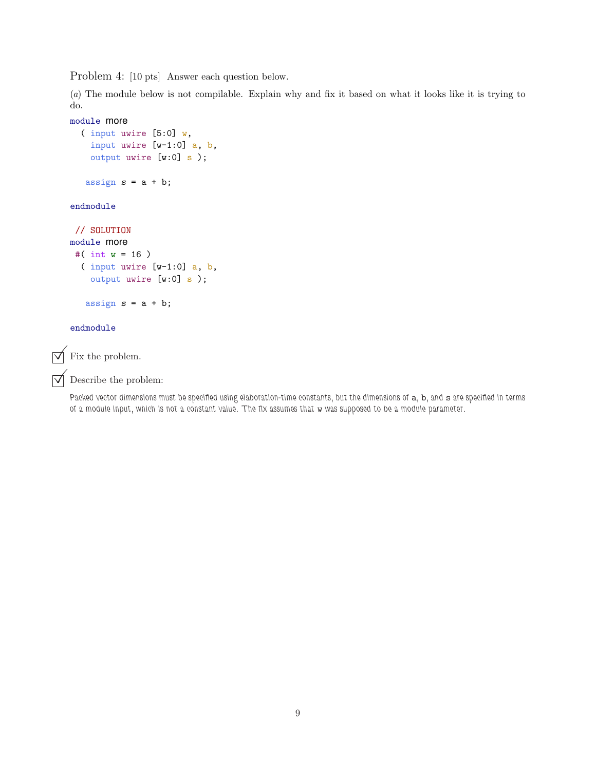Problem 4: [10 pts] Answer each question below.

(a) The module below is not compilable. Explain why and fix it based on what it looks like it is trying to do.

```
module more
  ( input uwire [5:0] w,
   input uwire [w-1:0] a, b,
    output uwire [w:0] s );
   assign s = a + b;
endmodule
// SOLUTION
module more
#( int w = 16 )
  ( input uwire [w-1:0] a, b,
   output uwire [w:0] s );
   assign s = a + b;
```
#### endmodule

 $\triangledown$  Fix the problem.

 $\triangledown$  Describe the problem:

Packed vector dimensions must be specified using elaboration-time constants, but the dimensions of a, b, and s are specified in terms of a module input, which is not a constant value. The fix assumes that w was supposed to be a module parameter.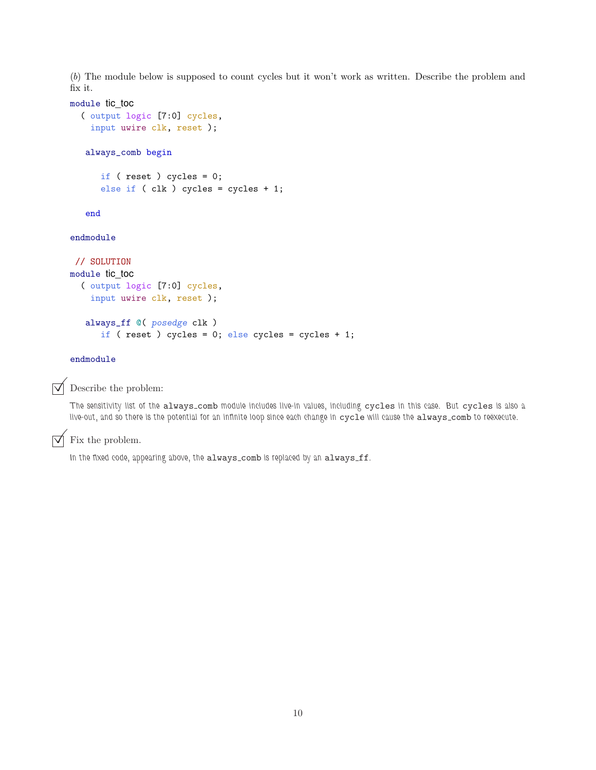(b) The module below is supposed to count cycles but it won't work as written. Describe the problem and fix it.

#### module tic\_toc

```
( output logic [7:0] cycles,
 input uwire clk, reset );
```
#### always\_comb begin

```
if ( reset ) cycles = 0;
else if ( clk ) cycles = cycles + 1;
```
end

#### endmodule

```
// SOLUTION
module tic_toc
  ( output logic [7:0] cycles,
    input uwire clk, reset );
   always_ff @( posedge clk )
      if ( reset ) cycles = 0; else cycles = cycles + 1;
```
#### endmodule

 $\triangledown$  Describe the problem:

The sensitivity list of the always comb module includes live-in values, including cycles in this case. But cycles is also a live-out, and so there is the potential for an infinite loop since each change in cycle will cause the always\_comb to reëxecute.

### $\triangledown$  Fix the problem.

In the fixed code, appearing above, the always\_comb is replaced by an always\_ff.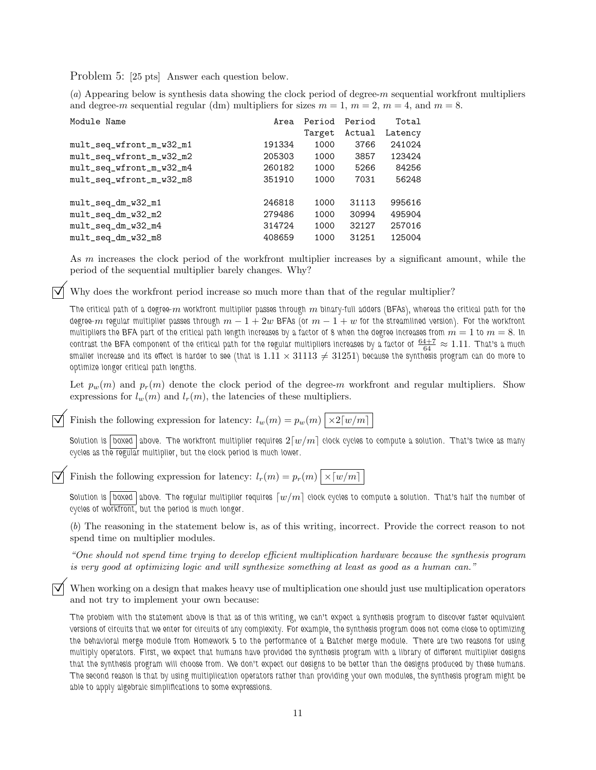Problem 5: [25 pts] Answer each question below.

(a) Appearing below is synthesis data showing the clock period of degree-m sequential workfront multipliers and degree-m sequential regular (dm) multipliers for sizes  $m = 1$ ,  $m = 2$ ,  $m = 4$ , and  $m = 8$ .

| Module Name              | Area   | Period | Period | Total   |
|--------------------------|--------|--------|--------|---------|
|                          |        | Target | Actual | Latency |
| mult_seq_wfront_m_w32_m1 | 191334 | 1000   | 3766   | 241024  |
| mult_seq_wfront_m_w32_m2 | 205303 | 1000   | 3857   | 123424  |
| mult_seq_wfront_m_w32_m4 | 260182 | 1000   | 5266   | 84256   |
| mult_seq_wfront_m_w32_m8 | 351910 | 1000   | 7031   | 56248   |
|                          |        |        |        |         |
| mult_seq_dm_w32_m1       | 246818 | 1000   | 31113  | 995616  |
| mult_seq_dm_w32_m2       | 279486 | 1000   | 30994  | 495904  |
| mult_seq_dm_w32_m4       | 314724 | 1000   | 32127  | 257016  |
| mult_seq_dm_w32_m8       | 408659 | 1000   | 31251  | 125004  |

As m increases the clock period of the workfront multiplier increases by a significant amount, while the period of the sequential multiplier barely changes. Why?

Why does the workfront period increase so much more than that of the regular multiplier?

The critical path of a degree-m workfront multiplier passes through  $m$  binary-full adders (BFAs), whereas the critical path for the degree-m regular multiplier passes through  $m - 1 + 2w$  BFAs (or  $m - 1 + w$  for the streamlined version). For the workfront multipliers the BFA part of the critical path length increases by a factor of 8 when the degree increases from  $m=1$  to  $m=8$ . In contrast the BFA component of the critical path for the regular multipliers increases by a factor of  $\frac{64+7}{64}\approx1.11$ . That's a much smaller increase and its effect is harder to see (that is  $1.11\times 31113\neq 31251$ ) because the synthesis program can do more to optimize longer critical path lengths.

Let  $p_w(m)$  and  $p_r(m)$  denote the clock period of the degree-m workfront and regular multipliers. Show expressions for  $l_w(m)$  and  $l_r(m)$ , the latencies of these multipliers.

Finish the following expression for latency:  $l_w(m) = p_w(m) | \times 2\lceil w/m \rceil$ 

Solution is boxed above. The workfront multiplier requires  $2\lceil w/m \rceil$  clock cycles to compute a solution. That's twice as many cycles as the regular multiplier, but the clock period is much lower.

Finish the following expression for latency:  $l_r(m) = p_r(m) \sqrt{\times [w/m]}$ 

Solution is boxed above. The regular multiplier requires  $[w/m]$  clock cycles to compute a solution. That's half the number of cycles of workfront, but the period is much longer.

(b) The reasoning in the statement below is, as of this writing, incorrect. Provide the correct reason to not spend time on multiplier modules.

"One should not spend time trying to develop efficient multiplication hardware because the synthesis program is very good at optimizing logic and will synthesize something at least as good as a human can."

 When working on a design that makes heavy use of multiplication one should just use multiplication operators and not try to implement your own because:

The problem with the statement above is that as of this writing, we can't expect a synthesis program to discover faster equivalent versions of circuits that we enter for circuits of any complexity. For example, the synthesis program does not come close to optimizing the behavioral merge module from Homework 5 to the performance of a Batcher merge module. There are two reasons for using multiply operators. First, we expect that humans have provided the synthesis program with a library of different multiplier designs that the synthesis program will choose from. We don't expect our designs to be better than the designs produced by these humans. The second reason is that by using multiplication operators rather than providing your own modules, the synthesis program might be able to apply algebraic simplifications to some expressions.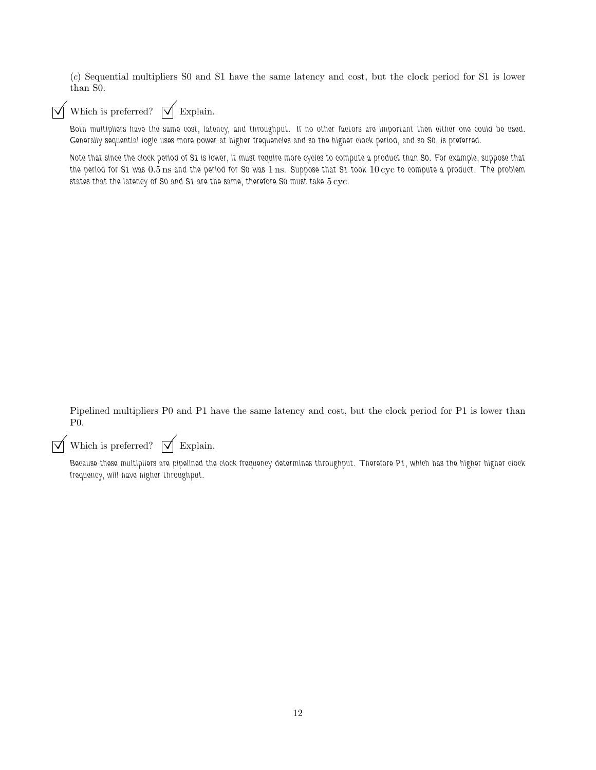(c) Sequential multipliers S0 and S1 have the same latency and cost, but the clock period for S1 is lower than S0.

## $\overrightarrow{\mathcal{M}}$  Which is preferred?  $\overrightarrow{\mathcal{M}}$  Explain.

Both multipliers have the same cost, latency, and throughput. If no other factors are important then either one could be used. Generally sequential logic uses more power at higher frequencies and so the higher clock period, and so S0, is preferred.

Note that since the clock period of S1 is lower, it must require more cycles to compute a product than S0. For example, suppose that the period for S1 was 0.5 ns and the period for S0 was 1 ns. Suppose that S1 took 10 cyc to compute a product. The problem states that the latency of S0 and S1 are the same, therefore S0 must take  $5 \, \mathrm{cyc}$ .

Pipelined multipliers P0 and P1 have the same latency and cost, but the clock period for P1 is lower than P0.

 $\overrightarrow{\mathcal{p}}$  Which is preferred?  $\overrightarrow{\mathcal{p}}$  Explain.

Because these multipliers are pipelined the clock frequency determines throughput. Therefore P1, which has the higher higher clock frequency, will have higher throughput.